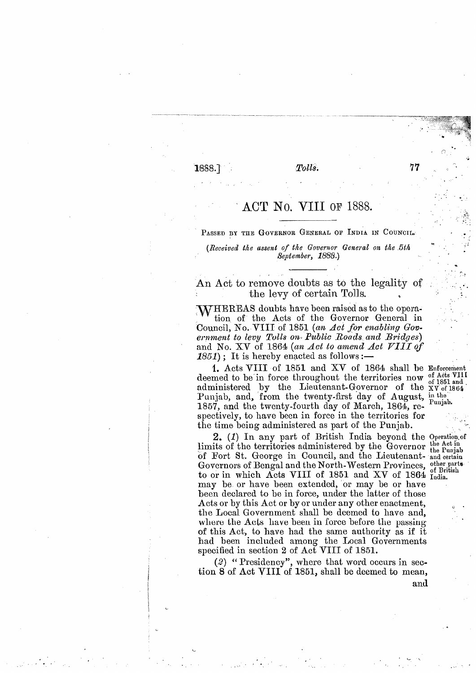$1888.$ 

Tolls.

## ACT No. VIII of 1888.

PASSED BY THE GOVERNOR GENERAL OF INDIA IN COUNCIL.<br>(Received the assent of the Governor General on the 5th September, 1886.)

An Act to remove doubts as to the legality of the levy of certain Tolls.

WHEREAS doubts have been raised as to the operation of the Acts of the Governor General in Council, No. VIII of 1851 (an *Act for enabling Gov*ernment to levy Tolls on Public Roads and Bridges) and No. XV of 1864 *(an Act to amend Act* **7111** *of*   $1851$ ); It is hereby enacted as follows :-

I. A.cts VIII of 1851 and XV of 1864 shall be Enforcement deemed to be in force throughout the territories now of Acts VIII administered by the Lieutenant-Governor of the XV of 1864 Punjab, and, from the twenty-first day of August, in the 1857, and the twenty-fourth day of March,  $1864$ , respectively, to have been in force in the territories for the time being administered as part of the Punjab.

2. (I) In any part of British India beyond the Operatiou,of limits of the territories administered by the Governor the Act in of Fort St. George in Council, and the Lieutenant- and certain Governors of Bengal and the North-Western Provinces, other parts to or in which Acts VIII of 1851 and XV of 1864 India. may be or have been extended, or may be or have been declared to be in force, under the latter of those Acts or by this Act or by or under any other enactment, the Local Government shall be deemed to have and, where the Acts have been in force before the passing of this Act, to have had the same authority as if it had been included among the Local Governments specified in section **2** of Act VIII of 1851.

*(2)* " Presidency ", where that word occurs in section 8 of Act VIII of 1851, shall be deemed to mean, and

.\*

77